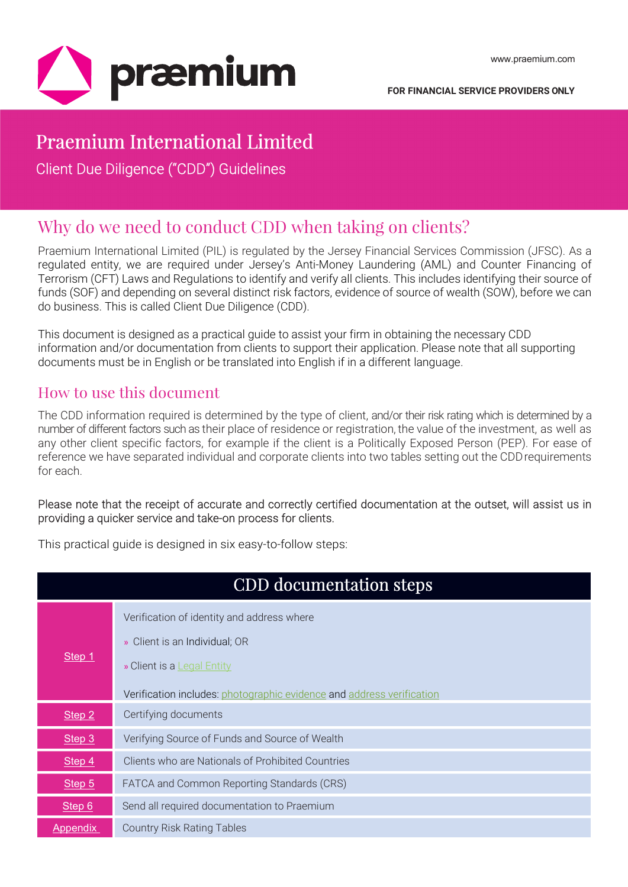

# Praemium International Limited

Client Due Diligence ("CDD") Guidelines

## Why do we need to conduct CDD when taking on clients?

Praemium International Limited (PIL) is regulated by the Jersey Financial Services Commission (JFSC). As a regulated entity, we are required under Jersey's Anti-Money Laundering (AML) and Counter Financing of Terrorism (CFT) Laws and Regulations to identify and verify all clients. This includes identifying their source of funds (SOF) and depending on several distinct risk factors, evidence of source of wealth (SOW), before we can do business. This is called Client Due Diligence (CDD).

This document is designed as a practical guide to assist your firm in obtaining the necessary CDD information and/or documentation from clients to support their application. Please note that all supporting documents must be in English or be translated into English if in a different language.

### How to use this document

The CDD information required is determined by the type of client, and/or their risk rating which is determined by a number of different factors such as their place of residence or registration, the value of the investment, as well as any other client specific factors, for example if the client is a Politically Exposed Person (PEP). For ease of reference we have separated individual and corporate clients into two tables setting out the CDD requirements for each.

#### Please note that the receipt of accurate and correctly certified documentation at the outset, will assist us in providing a quicker service and take-on process for clients.

This practical guide is designed in six easy-to-follow steps:

|                   | <b>CDD</b> documentation steps                                        |
|-------------------|-----------------------------------------------------------------------|
|                   | Verification of identity and address where                            |
|                   | » Client is an Individual; OR                                         |
| Step 1            | » Client is a <b>Legal Entity</b>                                     |
|                   | Verification includes: photographic evidence and address verification |
| Step 2            | Certifying documents                                                  |
| Step <sub>3</sub> | Verifying Source of Funds and Source of Wealth                        |
| Step 4            | Clients who are Nationals of Prohibited Countries                     |
| Step 5            | FATCA and Common Reporting Standards (CRS)                            |
| Step 6            | Send all required documentation to Praemium                           |
| <b>Appendix</b>   | <b>Country Risk Rating Tables</b>                                     |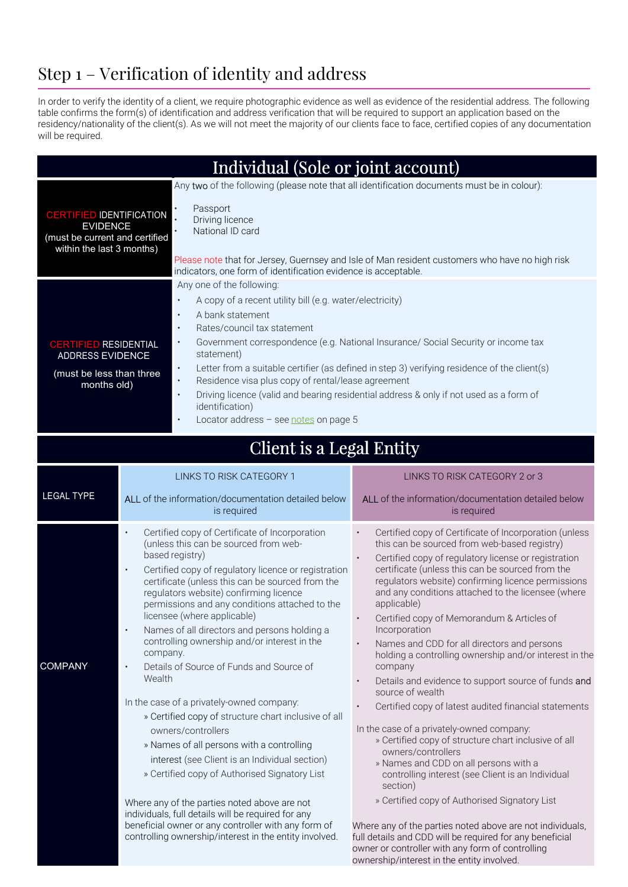# Step 1 – Verification of identity and address

In order to verify the identity of a client, we require photographic evidence as well as evidence of the residential address. The following table confirms the form(s) of identification and address verification that will be required to support an application based on the residency/nationality of the client(s). As we will not meet the majority of our clients face to face, certified copies of any documentation will be required.

| Individual (Sole or joint account)                                                                                                                                  |                                              |                                                                                                                                                                                                                                                                                                                                                                                                                                                                                                                                                                                                                                                                                                                                                                                                                          |                                                                                                                                                                                                                                                                                                                                                                                                                                                                                                                                                                                                                                                                                                                                                                                                                                                                                                                                                                         |  |  |  |
|---------------------------------------------------------------------------------------------------------------------------------------------------------------------|----------------------------------------------|--------------------------------------------------------------------------------------------------------------------------------------------------------------------------------------------------------------------------------------------------------------------------------------------------------------------------------------------------------------------------------------------------------------------------------------------------------------------------------------------------------------------------------------------------------------------------------------------------------------------------------------------------------------------------------------------------------------------------------------------------------------------------------------------------------------------------|-------------------------------------------------------------------------------------------------------------------------------------------------------------------------------------------------------------------------------------------------------------------------------------------------------------------------------------------------------------------------------------------------------------------------------------------------------------------------------------------------------------------------------------------------------------------------------------------------------------------------------------------------------------------------------------------------------------------------------------------------------------------------------------------------------------------------------------------------------------------------------------------------------------------------------------------------------------------------|--|--|--|
| <b>CERTIFIED IDENTIFICATION</b><br><b>EVIDENCE</b><br>(must be current and certified<br>within the last $3$ months)                                                 |                                              | Passport<br>Driving licence<br>National ID card<br>indicators, one form of identification evidence is acceptable.                                                                                                                                                                                                                                                                                                                                                                                                                                                                                                                                                                                                                                                                                                        | Any two of the following (please note that all identification documents must be in colour):<br>Please note that for Jersey, Guernsey and Isle of Man resident customers who have no high risk                                                                                                                                                                                                                                                                                                                                                                                                                                                                                                                                                                                                                                                                                                                                                                           |  |  |  |
| <b>CERTIFIED RESIDENTIAL</b><br><b>ADDRESS EVIDENCE</b><br>(must be less than three<br>months old)                                                                  |                                              | Any one of the following:<br>A copy of a recent utility bill (e.g. water/electricity)<br>$\bullet$<br>A bank statement<br>$\bullet$<br>Rates/council tax statement<br>$\bullet$<br>Government correspondence (e.g. National Insurance/ Social Security or income tax<br>$\bullet$<br>statement)<br>Letter from a suitable certifier (as defined in step 3) verifying residence of the client(s)<br>$\bullet$<br>Residence visa plus copy of rental/lease agreement<br>$\bullet$<br>Driving licence (valid and bearing residential address & only if not used as a form of<br>$\bullet$<br>identification)<br>Locator address - see notes on page 5<br>$\bullet$                                                                                                                                                          |                                                                                                                                                                                                                                                                                                                                                                                                                                                                                                                                                                                                                                                                                                                                                                                                                                                                                                                                                                         |  |  |  |
|                                                                                                                                                                     |                                              | Client is a Legal Entity                                                                                                                                                                                                                                                                                                                                                                                                                                                                                                                                                                                                                                                                                                                                                                                                 |                                                                                                                                                                                                                                                                                                                                                                                                                                                                                                                                                                                                                                                                                                                                                                                                                                                                                                                                                                         |  |  |  |
| <b>LEGAL TYPE</b>                                                                                                                                                   |                                              | LINKS TO RISK CATEGORY 1<br>ALL of the information/documentation detailed below<br>is required                                                                                                                                                                                                                                                                                                                                                                                                                                                                                                                                                                                                                                                                                                                           | LINKS TO RISK CATEGORY 2 or 3<br>ALL of the information/documentation detailed below<br>is required                                                                                                                                                                                                                                                                                                                                                                                                                                                                                                                                                                                                                                                                                                                                                                                                                                                                     |  |  |  |
| <b>COMPANY</b>                                                                                                                                                      | $\bullet$<br>$\bullet$<br>company.<br>Wealth | Certified copy of Certificate of Incorporation<br>(unless this can be sourced from web-<br>based registry)<br>Certified copy of regulatory licence or registration<br>certificate (unless this can be sourced from the<br>regulators website) confirming licence<br>permissions and any conditions attached to the<br>licensee (where applicable)<br>Names of all directors and persons holding a<br>controlling ownership and/or interest in the<br>Details of Source of Funds and Source of<br>In the case of a privately-owned company:<br>» Certified copy of structure chart inclusive of all<br>owners/controllers<br>» Names of all persons with a controlling<br>interest (see Client is an Individual section)<br>» Certified copy of Authorised Signatory List<br>Where any of the parties noted above are not | Certified copy of Certificate of Incorporation (unless<br>this can be sourced from web-based registry)<br>Certified copy of regulatory license or registration<br>certificate (unless this can be sourced from the<br>regulators website) confirming licence permissions<br>and any conditions attached to the licensee (where<br>applicable)<br>Certified copy of Memorandum & Articles of<br>$\bullet$<br>Incorporation<br>Names and CDD for all directors and persons<br>holding a controlling ownership and/or interest in the<br>company<br>Details and evidence to support source of funds and<br>source of wealth<br>Certified copy of latest audited financial statements<br>In the case of a privately-owned company:<br>» Certified copy of structure chart inclusive of all<br>owners/controllers<br>» Names and CDD on all persons with a<br>controlling interest (see Client is an Individual<br>section)<br>» Certified copy of Authorised Signatory List |  |  |  |
| individuals, full details will be required for any<br>beneficial owner or any controller with any form of<br>controlling ownership/interest in the entity involved. |                                              |                                                                                                                                                                                                                                                                                                                                                                                                                                                                                                                                                                                                                                                                                                                                                                                                                          | Where any of the parties noted above are not individuals,<br>full details and CDD will be required for any beneficial<br>owner or controller with any form of controlling<br>ownership/interest in the entity involved.                                                                                                                                                                                                                                                                                                                                                                                                                                                                                                                                                                                                                                                                                                                                                 |  |  |  |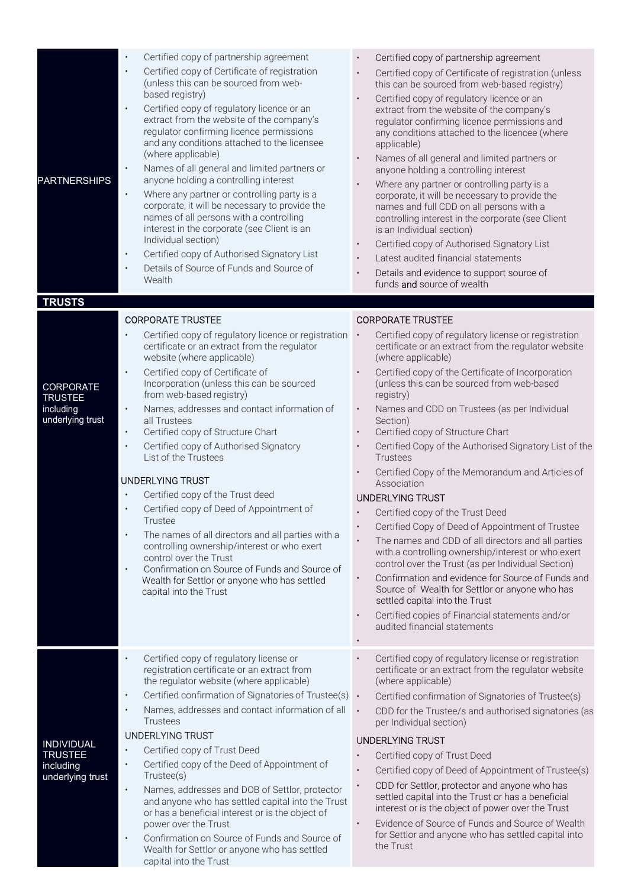| <b>PARTNERSHIPS</b>           | Certified copy of partnership agreement<br>Certified copy of Certificate of registration<br>$\bullet$<br>(unless this can be sourced from web-<br>based registry)<br>Certified copy of regulatory licence or an<br>$\bullet$<br>extract from the website of the company's<br>regulator confirming licence permissions<br>and any conditions attached to the licensee<br>(where applicable)<br>Names of all general and limited partners or<br>$\bullet$<br>anyone holding a controlling interest<br>Where any partner or controlling party is a<br>$\bullet$<br>corporate, it will be necessary to provide the<br>names of all persons with a controlling<br>interest in the corporate (see Client is an<br>Individual section)<br>Certified copy of Authorised Signatory List<br>$\bullet$<br>Details of Source of Funds and Source of<br>Wealth | Certified copy of partnership agreement<br>Certified copy of Certificate of registration (unless<br>this can be sourced from web-based registry)<br>Certified copy of regulatory licence or an<br>extract from the website of the company's<br>regulator confirming licence permissions and<br>any conditions attached to the licencee (where<br>applicable)<br>Names of all general and limited partners or<br>anyone holding a controlling interest<br>Where any partner or controlling party is a<br>corporate, it will be necessary to provide the<br>names and full CDD on all persons with a<br>controlling interest in the corporate (see Client<br>is an Individual section)<br>Certified copy of Authorised Signatory List<br>Latest audited financial statements<br>Details and evidence to support source of<br>funds and source of wealth |
|-------------------------------|---------------------------------------------------------------------------------------------------------------------------------------------------------------------------------------------------------------------------------------------------------------------------------------------------------------------------------------------------------------------------------------------------------------------------------------------------------------------------------------------------------------------------------------------------------------------------------------------------------------------------------------------------------------------------------------------------------------------------------------------------------------------------------------------------------------------------------------------------|-------------------------------------------------------------------------------------------------------------------------------------------------------------------------------------------------------------------------------------------------------------------------------------------------------------------------------------------------------------------------------------------------------------------------------------------------------------------------------------------------------------------------------------------------------------------------------------------------------------------------------------------------------------------------------------------------------------------------------------------------------------------------------------------------------------------------------------------------------|
| <b>TRUSTS</b>                 |                                                                                                                                                                                                                                                                                                                                                                                                                                                                                                                                                                                                                                                                                                                                                                                                                                                   |                                                                                                                                                                                                                                                                                                                                                                                                                                                                                                                                                                                                                                                                                                                                                                                                                                                       |
|                               | <b>CORPORATE TRUSTEE</b>                                                                                                                                                                                                                                                                                                                                                                                                                                                                                                                                                                                                                                                                                                                                                                                                                          | <b>CORPORATE TRUSTEE</b>                                                                                                                                                                                                                                                                                                                                                                                                                                                                                                                                                                                                                                                                                                                                                                                                                              |
|                               | Certified copy of regulatory licence or registration<br>certificate or an extract from the regulator<br>website (where applicable)<br>Certified copy of Certificate of<br>$\bullet$                                                                                                                                                                                                                                                                                                                                                                                                                                                                                                                                                                                                                                                               | Certified copy of regulatory license or registration<br>certificate or an extract from the regulator website<br>(where applicable)<br>Certified copy of the Certificate of Incorporation                                                                                                                                                                                                                                                                                                                                                                                                                                                                                                                                                                                                                                                              |
| CORPORATE<br><b>TRUSTEE</b>   | Incorporation (unless this can be sourced<br>from web-based registry)                                                                                                                                                                                                                                                                                                                                                                                                                                                                                                                                                                                                                                                                                                                                                                             | (unless this can be sourced from web-based<br>registry)                                                                                                                                                                                                                                                                                                                                                                                                                                                                                                                                                                                                                                                                                                                                                                                               |
| including<br>underlying trust | Names, addresses and contact information of<br>$\bullet$<br>all Trustees                                                                                                                                                                                                                                                                                                                                                                                                                                                                                                                                                                                                                                                                                                                                                                          | Names and CDD on Trustees (as per Individual<br>Section)                                                                                                                                                                                                                                                                                                                                                                                                                                                                                                                                                                                                                                                                                                                                                                                              |
|                               | Certified copy of Structure Chart<br>$\bullet$                                                                                                                                                                                                                                                                                                                                                                                                                                                                                                                                                                                                                                                                                                                                                                                                    | Certified copy of Structure Chart                                                                                                                                                                                                                                                                                                                                                                                                                                                                                                                                                                                                                                                                                                                                                                                                                     |
|                               | Certified copy of Authorised Signatory<br>$\bullet$<br>List of the Trustees                                                                                                                                                                                                                                                                                                                                                                                                                                                                                                                                                                                                                                                                                                                                                                       | Certified Copy of the Authorised Signatory List of the<br>Trustees                                                                                                                                                                                                                                                                                                                                                                                                                                                                                                                                                                                                                                                                                                                                                                                    |
|                               | <b>UNDERLYING TRUST</b>                                                                                                                                                                                                                                                                                                                                                                                                                                                                                                                                                                                                                                                                                                                                                                                                                           | Certified Copy of the Memorandum and Articles of<br>Association                                                                                                                                                                                                                                                                                                                                                                                                                                                                                                                                                                                                                                                                                                                                                                                       |
|                               | Certified copy of the Trust deed<br>$\bullet$                                                                                                                                                                                                                                                                                                                                                                                                                                                                                                                                                                                                                                                                                                                                                                                                     | <b>UNDERLYING TRUST</b>                                                                                                                                                                                                                                                                                                                                                                                                                                                                                                                                                                                                                                                                                                                                                                                                                               |
|                               | Certified copy of Deed of Appointment of<br>Trustee                                                                                                                                                                                                                                                                                                                                                                                                                                                                                                                                                                                                                                                                                                                                                                                               | Certified copy of the Trust Deed                                                                                                                                                                                                                                                                                                                                                                                                                                                                                                                                                                                                                                                                                                                                                                                                                      |
|                               | The names of all directors and all parties with a                                                                                                                                                                                                                                                                                                                                                                                                                                                                                                                                                                                                                                                                                                                                                                                                 | Certified Copy of Deed of Appointment of Trustee                                                                                                                                                                                                                                                                                                                                                                                                                                                                                                                                                                                                                                                                                                                                                                                                      |
|                               | controlling ownership/interest or who exert<br>control over the Trust<br>Confirmation on Source of Funds and Source of<br>$\bullet$                                                                                                                                                                                                                                                                                                                                                                                                                                                                                                                                                                                                                                                                                                               | The names and CDD of all directors and all parties<br>with a controlling ownership/interest or who exert<br>control over the Trust (as per Individual Section)                                                                                                                                                                                                                                                                                                                                                                                                                                                                                                                                                                                                                                                                                        |
|                               | Wealth for Settlor or anyone who has settled<br>capital into the Trust                                                                                                                                                                                                                                                                                                                                                                                                                                                                                                                                                                                                                                                                                                                                                                            | Confirmation and evidence for Source of Funds and<br>٠<br>Source of Wealth for Settlor or anyone who has<br>settled capital into the Trust                                                                                                                                                                                                                                                                                                                                                                                                                                                                                                                                                                                                                                                                                                            |
|                               |                                                                                                                                                                                                                                                                                                                                                                                                                                                                                                                                                                                                                                                                                                                                                                                                                                                   | Certified copies of Financial statements and/or<br>٠<br>audited financial statements                                                                                                                                                                                                                                                                                                                                                                                                                                                                                                                                                                                                                                                                                                                                                                  |
|                               | Certified copy of regulatory license or<br>$\bullet$<br>registration certificate or an extract from<br>the regulator website (where applicable)                                                                                                                                                                                                                                                                                                                                                                                                                                                                                                                                                                                                                                                                                                   | Certified copy of regulatory license or registration<br>certificate or an extract from the regulator website<br>(where applicable)                                                                                                                                                                                                                                                                                                                                                                                                                                                                                                                                                                                                                                                                                                                    |
|                               | Certified confirmation of Signatories of Trustee(s) .<br>$\bullet$                                                                                                                                                                                                                                                                                                                                                                                                                                                                                                                                                                                                                                                                                                                                                                                | Certified confirmation of Signatories of Trustee(s)                                                                                                                                                                                                                                                                                                                                                                                                                                                                                                                                                                                                                                                                                                                                                                                                   |
|                               | Names, addresses and contact information of all<br>$\bullet$<br>Trustees                                                                                                                                                                                                                                                                                                                                                                                                                                                                                                                                                                                                                                                                                                                                                                          | $\bullet$<br>CDD for the Trustee/s and authorised signatories (as<br>per Individual section)                                                                                                                                                                                                                                                                                                                                                                                                                                                                                                                                                                                                                                                                                                                                                          |
| <b>INDIVIDUAL</b>             | <b>UNDERLYING TRUST</b>                                                                                                                                                                                                                                                                                                                                                                                                                                                                                                                                                                                                                                                                                                                                                                                                                           | <b>UNDERLYING TRUST</b>                                                                                                                                                                                                                                                                                                                                                                                                                                                                                                                                                                                                                                                                                                                                                                                                                               |
| <b>TRUSTEE</b>                | Certified copy of Trust Deed<br>$\bullet$<br>Certified copy of the Deed of Appointment of<br>$\bullet$                                                                                                                                                                                                                                                                                                                                                                                                                                                                                                                                                                                                                                                                                                                                            | Certified copy of Trust Deed                                                                                                                                                                                                                                                                                                                                                                                                                                                                                                                                                                                                                                                                                                                                                                                                                          |
| including<br>underlying trust | Trustee(s)                                                                                                                                                                                                                                                                                                                                                                                                                                                                                                                                                                                                                                                                                                                                                                                                                                        | Certified copy of Deed of Appointment of Trustee(s)                                                                                                                                                                                                                                                                                                                                                                                                                                                                                                                                                                                                                                                                                                                                                                                                   |
|                               | Names, addresses and DOB of Settlor, protector<br>$\bullet$<br>and anyone who has settled capital into the Trust<br>or has a beneficial interest or is the object of<br>power over the Trust                                                                                                                                                                                                                                                                                                                                                                                                                                                                                                                                                                                                                                                      | CDD for Settlor, protector and anyone who has<br>settled capital into the Trust or has a beneficial<br>interest or is the object of power over the Trust<br>Evidence of Source of Funds and Source of Wealth<br>$\bullet$                                                                                                                                                                                                                                                                                                                                                                                                                                                                                                                                                                                                                             |
|                               | Confirmation on Source of Funds and Source of<br>$\bullet$<br>Wealth for Settlor or anyone who has settled<br>capital into the Trust                                                                                                                                                                                                                                                                                                                                                                                                                                                                                                                                                                                                                                                                                                              | for Settlor and anyone who has settled capital into<br>the Trust                                                                                                                                                                                                                                                                                                                                                                                                                                                                                                                                                                                                                                                                                                                                                                                      |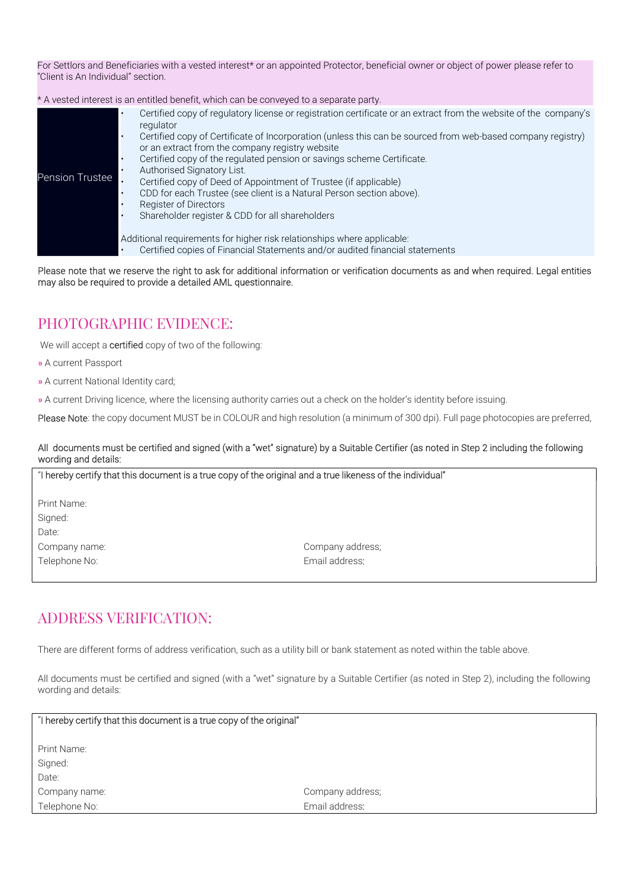For Settlors and Beneficiaries with a vested interest\* or an appointed Protector, beneficial owner or object of power please refer to "Client is An Individual" section.

\* A vested interest is an entitled benefit, which can be conveyed to a separate party.

| Pension Trustee | Certified copy of regulatory license or registration certificate or an extract from the website of the company's<br>regulator<br>Certified copy of Certificate of Incorporation (unless this can be sourced from web-based company registry)<br>or an extract from the company registry website<br>Certified copy of the regulated pension or savings scheme Certificate.<br>٠<br>Authorised Signatory List.<br>Certified copy of Deed of Appointment of Trustee (if applicable)<br>CDD for each Trustee (see client is a Natural Person section above).<br>Register of Directors<br>Shareholder register & CDD for all shareholders |
|-----------------|--------------------------------------------------------------------------------------------------------------------------------------------------------------------------------------------------------------------------------------------------------------------------------------------------------------------------------------------------------------------------------------------------------------------------------------------------------------------------------------------------------------------------------------------------------------------------------------------------------------------------------------|
|                 | Additional requirements for higher risk relationships where applicable:<br>Certified copies of Financial Statements and/or audited financial statements                                                                                                                                                                                                                                                                                                                                                                                                                                                                              |

Please note that we reserve the right to ask for additional information or verification documents as and when required. Legal entities may also be required to provide a detailed AML questionnaire.

### PHOTOGRAPHIC EVIDENCE:

We will accept a **certified** copy of two of the following:

- » A current Passport
- » A current National Identity card;
- » A current Driving licence, where the licensing authority carries out a check on the holder's identity before issuing.

Please Note: the copy document MUST be in COLOUR and high resolution (a minimum of 300 dpi). Full page photocopies are preferred,

#### All documents must be certified and signed (with a "wet" signature) by a Suitable Certifier (as noted in Step 2 including the following wording and details:

"I hereby certify that this document is a true copy of the original and a true likeness of the individual" Print Name: Signed: Date: Company name: Company address; Telephone No: et al. et al. et al. et al. et al. et al. et al. et al. et al. et al. et al. et al. et al. et al. et al. et al. et al. et al. et al. et al. et al. et al. et al. et al. et al. et al. et al. et al. et al. et al

#### ADDRESS VERIFICATION:

There are different forms of address verification, such as a utility bill or bank statement as noted within the table above.

All documents must be certified and signed (with a "wet" signature by a Suitable Certifier (as noted in Step 2), including the following wording and details:

| "I hereby certify that this document is a true copy of the original" |                  |  |  |  |
|----------------------------------------------------------------------|------------------|--|--|--|
|                                                                      |                  |  |  |  |
| Print Name:                                                          |                  |  |  |  |
| Signed:                                                              |                  |  |  |  |
| Date:                                                                |                  |  |  |  |
| Company name:                                                        | Company address; |  |  |  |
| Telephone No:                                                        | Email address:   |  |  |  |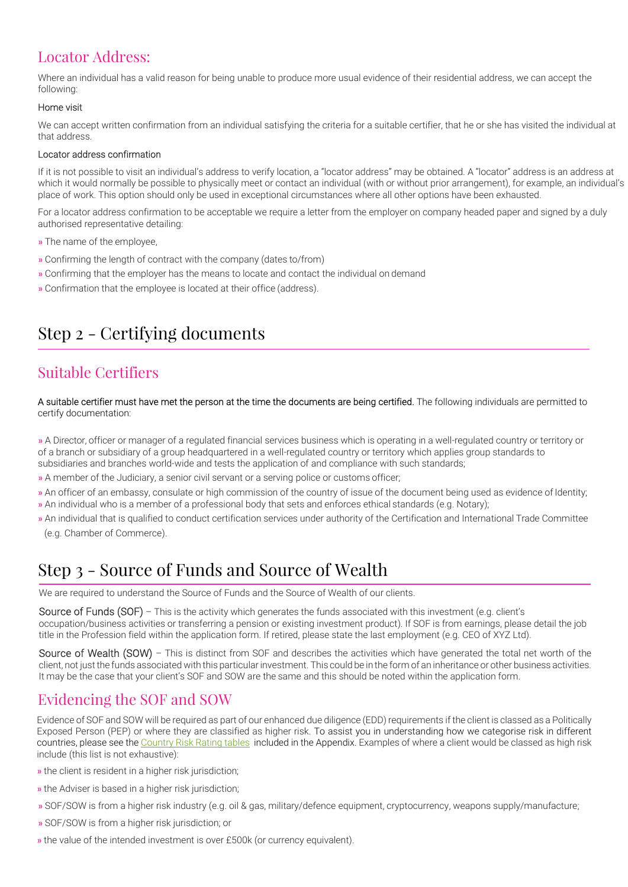## Locator Address:

Where an individual has a valid reason for being unable to produce more usual evidence of their residential address, we can accept the following:

#### Home visit

We can accept written confirmation from an individual satisfying the criteria for a suitable certifier, that he or she has visited the individual at that address.

#### Locator address confirmation

If it is not possible to visit an individual's address to verify location, a "locator address" may be obtained. A "locator" address is an address at which it would normally be possible to physically meet or contact an individual (with or without prior arrangement), for example, an individual's place of work. This option should only be used in exceptional circumstances where all other options have been exhausted.

For a locator address confirmation to be acceptable we require a letter from the employer on company headed paper and signed by a duly authorised representative detailing:

- » The name of the employee,
- » Confirming the length of contract with the company (dates to/from)
- » Confirming that the employer has the means to locate and contact the individual on demand
- » Confirmation that the employee is located at their office (address).

# Step 2 - Certifying documents

## Suitable Certifiers

A suitable certifier must have met the person at the time the documents are being certified. The following individuals are permitted to certify documentation:

» A Director, officer or manager of a regulated financial services business which is operating in a well-regulated country or territory or of a branch or subsidiary of a group headquartered in a well-regulated country or territory which applies group standards to subsidiaries and branches world-wide and tests the application of and compliance with such standards;

- » A member of the Judiciary, a senior civil servant or a serving police or customs officer;
- » An officer of an embassy, consulate or high commission of the country of issue of the document being used as evidence of Identity;
- » An individual who is a member of a professional body that sets and enforces ethical standards (e.g. Notary);
- » An individual that is qualified to conduct certification services under authority of the Certification and International Trade Committee (e.g. Chamber of Commerce).

## Step 3 - Source of Funds and Source of Wealth

We are required to understand the Source of Funds and the Source of Wealth of our clients.

Source of Funds (SOF) – This is the activity which generates the funds associated with this investment (e.g. client's occupation/business activities or transferring a pension or existing investment product). If SOF is from earnings, please detail the job title in the Profession field within the application form. If retired, please state the last employment (e.g. CEO of XYZ Ltd).

Source of Wealth (SOW) – This is distinct from SOF and describes the activities which have generated the total net worth of the client, not just the funds associated with this particular investment. This could be in the form of an inheritance or other business activities. It may be the case that your client's SOF and SOW are the same and this should be noted within the application form.

### Evidencing the SOF and SOW

Evidence of SOF and SOW will be required as part of our enhanced due diligence (EDD) requirements if the client is classed as a Politically Exposed Person (PEP) or where they are classified as higher risk. To assist you in understanding how we categorise risk in different countries, please see the Country Risk Rating tables included in the Appendix. Examples of where a client would be classed as high risk include (this list is not exhaustive):

- » the client is resident in a higher risk jurisdiction;
- » the Adviser is based in a higher risk jurisdiction;
- » SOF/SOW is from a higher risk industry (e.g. oil & gas, military/defence equipment, cryptocurrency, weapons supply/manufacture;
- » SOF/SOW is from a higher risk jurisdiction; or
- » the value of the intended investment is over £500k (or currency equivalent).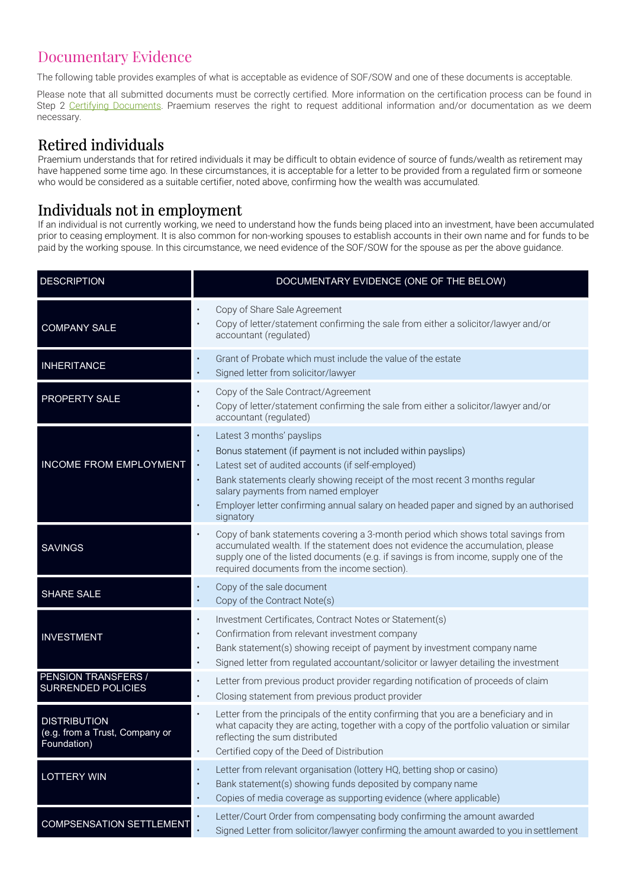## Documentary Evidence

The following table provides examples of what is acceptable as evidence of SOF/SOW and one of these documents is acceptable.

Please note that all submitted documents must be correctly certified. More information on the certification process can be found in Step 2 Certifying Documents. Praemium reserves the right to request additional information and/or documentation as we deem necessary.

## Retired individuals

Praemium understands that for retired individuals it may be difficult to obtain evidence of source of funds/wealth as retirement may have happened some time ago. In these circumstances, it is acceptable for a letter to be provided from a regulated firm or someone who would be considered as a suitable certifier, noted above, confirming how the wealth was accumulated.

## Individuals not in employment

If an individual is not currently working, we need to understand how the funds being placed into an investment, have been accumulated prior to ceasing employment. It is also common for non-working spouses to establish accounts in their own name and for funds to be paid by the working spouse. In this circumstance, we need evidence of the SOF/SOW for the spouse as per the above guidance.

| <b>DESCRIPTION</b>                                                   | DOCUMENTARY EVIDENCE (ONE OF THE BELOW)                                                                                                                                                                                                                                                                                                                                                                                                    |
|----------------------------------------------------------------------|--------------------------------------------------------------------------------------------------------------------------------------------------------------------------------------------------------------------------------------------------------------------------------------------------------------------------------------------------------------------------------------------------------------------------------------------|
| <b>COMPANY SALE</b>                                                  | Copy of Share Sale Agreement<br>Copy of letter/statement confirming the sale from either a solicitor/lawyer and/or<br>accountant (regulated)                                                                                                                                                                                                                                                                                               |
| <b>INHERITANCE</b>                                                   | Grant of Probate which must include the value of the estate<br>$\bullet$<br>Signed letter from solicitor/lawyer<br>$\bullet$                                                                                                                                                                                                                                                                                                               |
| PROPERTY SALE                                                        | Copy of the Sale Contract/Agreement<br>$\bullet$<br>Copy of letter/statement confirming the sale from either a solicitor/lawyer and/or<br>accountant (regulated)                                                                                                                                                                                                                                                                           |
| <b>INCOME FROM EMPLOYMENT</b>                                        | Latest 3 months' payslips<br>$\bullet$<br>Bonus statement (if payment is not included within payslips)<br>$\bullet$<br>Latest set of audited accounts (if self-employed)<br>$\bullet$<br>Bank statements clearly showing receipt of the most recent 3 months regular<br>$\bullet$<br>salary payments from named employer<br>Employer letter confirming annual salary on headed paper and signed by an authorised<br>$\bullet$<br>signatory |
| <b>SAVINGS</b>                                                       | Copy of bank statements covering a 3-month period which shows total savings from<br>$\bullet$<br>accumulated wealth. If the statement does not evidence the accumulation, please<br>supply one of the listed documents (e.g. if savings is from income, supply one of the<br>required documents from the income section).                                                                                                                  |
| <b>SHARE SALE</b>                                                    | Copy of the sale document<br>$\bullet$<br>Copy of the Contract Note(s)<br>$\bullet$                                                                                                                                                                                                                                                                                                                                                        |
| <b>INVESTMENT</b>                                                    | Investment Certificates, Contract Notes or Statement(s)<br>$\bullet$<br>Confirmation from relevant investment company<br>$\bullet$<br>Bank statement(s) showing receipt of payment by investment company name<br>$\bullet$<br>Signed letter from regulated accountant/solicitor or lawyer detailing the investment<br>$\bullet$                                                                                                            |
| PENSION TRANSFERS /<br><b>SURRENDED POLICIES</b>                     | Letter from previous product provider regarding notification of proceeds of claim<br>$\bullet$<br>Closing statement from previous product provider<br>$\bullet$                                                                                                                                                                                                                                                                            |
| <b>DISTRIBUTION</b><br>(e.g. from a Trust, Company or<br>Foundation) | Letter from the principals of the entity confirming that you are a beneficiary and in<br>$\bullet$<br>what capacity they are acting, together with a copy of the portfolio valuation or similar<br>reflecting the sum distributed<br>Certified copy of the Deed of Distribution<br>$\bullet$                                                                                                                                               |
| <b>LOTTERY WIN</b>                                                   | Letter from relevant organisation (lottery HQ, betting shop or casino)<br>٠<br>Bank statement(s) showing funds deposited by company name<br>$\bullet$<br>Copies of media coverage as supporting evidence (where applicable)<br>$\bullet$                                                                                                                                                                                                   |
| <b>COMPSENSATION SETTLEMENT</b>                                      | Letter/Court Order from compensating body confirming the amount awarded<br>$\bullet$<br>Signed Letter from solicitor/lawyer confirming the amount awarded to you in settlement                                                                                                                                                                                                                                                             |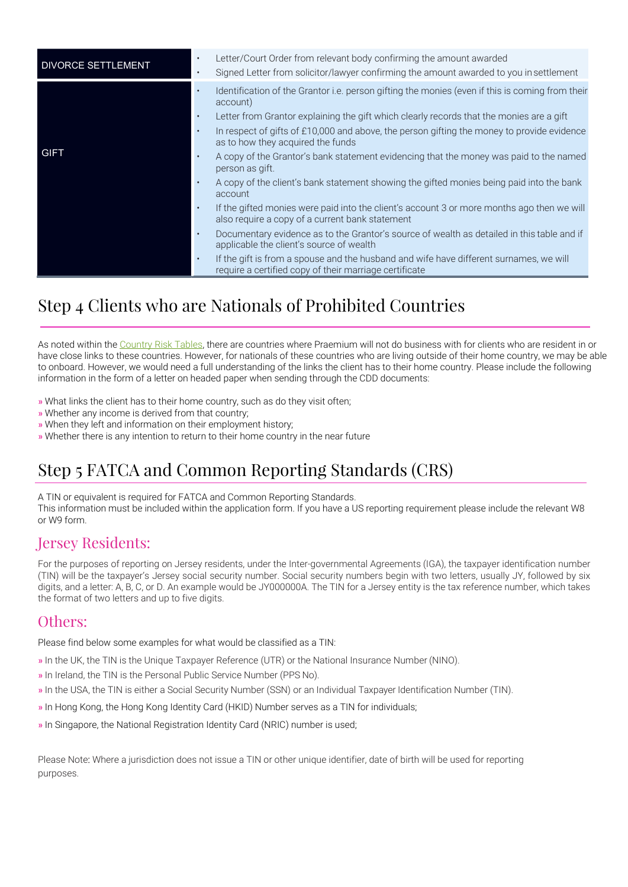| <b>DIVORCE SETTLEMENT</b> |                                                  | Letter/Court Order from relevant body confirming the amount awarded<br>Signed Letter from solicitor/lawyer confirming the amount awarded to you in settlement                                                                                                                                                                                                                                                                                                                                                                                                                                                                                                                                                                                                                                                                                                                                                                                                                                                 |
|---------------------------|--------------------------------------------------|---------------------------------------------------------------------------------------------------------------------------------------------------------------------------------------------------------------------------------------------------------------------------------------------------------------------------------------------------------------------------------------------------------------------------------------------------------------------------------------------------------------------------------------------------------------------------------------------------------------------------------------------------------------------------------------------------------------------------------------------------------------------------------------------------------------------------------------------------------------------------------------------------------------------------------------------------------------------------------------------------------------|
| <b>GIFT</b>               | $\bullet$<br>$\bullet$<br>$\bullet$<br>$\bullet$ | Identification of the Grantor i.e. person gifting the monies (even if this is coming from their<br>account)<br>Letter from Grantor explaining the gift which clearly records that the monies are a gift<br>In respect of gifts of £10,000 and above, the person gifting the money to provide evidence<br>as to how they acquired the funds<br>A copy of the Grantor's bank statement evidencing that the money was paid to the named<br>person as gift.<br>A copy of the client's bank statement showing the gifted monies being paid into the bank<br>account<br>If the gifted monies were paid into the client's account 3 or more months ago then we will<br>also require a copy of a current bank statement<br>Documentary evidence as to the Grantor's source of wealth as detailed in this table and if<br>applicable the client's source of wealth<br>If the gift is from a spouse and the husband and wife have different surnames, we will<br>require a certified copy of their marriage certificate |

# Step 4 Clients who are Nationals of Prohibited Countries

As noted within the Country Risk Tables, there are countries where Praemium will not do business with for clients who are resident in or have close links to these countries. However, for nationals of these countries who are living outside of their home country, we may be able to onboard. However, we would need a full understanding of the links the client has to their home country. Please include the following information in the form of a letter on headed paper when sending through the CDD documents:

- » What links the client has to their home country, such as do they visit often;
- » Whether any income is derived from that country;
- » When they left and information on their employment history;
- » Whether there is any intention to return to their home country in the near future

# Step 5 FATCA and Common Reporting Standards (CRS)

A TIN or equivalent is required for FATCA and Common Reporting Standards. This information must be included within the application form. If you have a US reporting requirement please include the relevant W8 or W9 form.

### Jersey Residents:

For the purposes of reporting on Jersey residents, under the Inter-governmental Agreements (IGA), the taxpayer identification number (TIN) will be the taxpayer's Jersey social security number. Social security numbers begin with two letters, usually JY, followed by six digits, and a letter: A, B, C, or D. An example would be JY000000A. The TIN for a Jersey entity is the tax reference number, which takes the format of two letters and up to five digits.

#### Others:

Please find below some examples for what would be classified as a TIN:

- » In the UK, the TIN is the Unique Taxpayer Reference (UTR) or the National Insurance Number (NINO).
- » In Ireland, the TIN is the Personal Public Service Number (PPS No).
- » In the USA, the TIN is either a Social Security Number (SSN) or an Individual Taxpayer Identification Number (TIN).
- » In Hong Kong, the Hong Kong Identity Card (HKID) Number serves as a TIN for individuals;
- » In Singapore, the National Registration Identity Card (NRIC) number is used;

Please Note: Where a jurisdiction does not issue a TIN or other unique identifier, date of birth will be used for reporting purposes.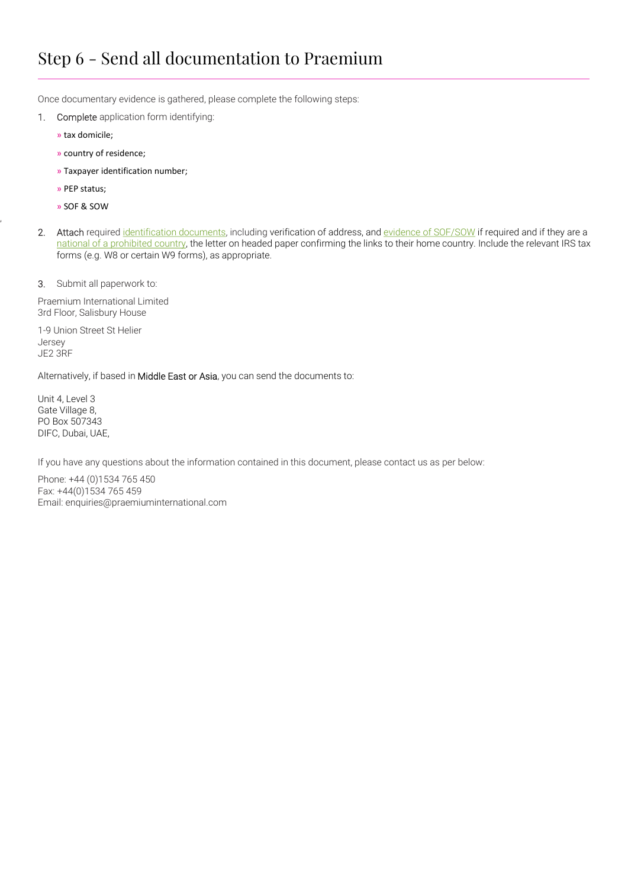# Step 6 - Send all documentation to Praemium

Once documentary evidence is gathered, please complete the following steps:

- 1. Complete application form identifying:
	- » tax domicile;
	- » country of residence;
	- » Taxpayer identification number;
	- » PEP status;
	- » SOF & SOW

,

2. Attach required identification documents, including verification of address, and evidence of SOF/SOW if required and if they are a national of a prohibited country, the letter on headed paper confirming the links to their home country. Include the relevant IRS tax forms (e.g. W8 or certain W9 forms), as appropriate.

3. Submit all paperwork to:

Praemium International Limited 3rd Floor, Salisbury House

1-9 Union Street St Helier Jersey JE2 3RF

Alternatively, if based in Middle East or Asia, you can send the documents to:

Unit 4, Level 3 Gate Village 8, PO Box 507343 DIFC, Dubai, UAE,

If you have any questions about the information contained in this document, please contact us as per below:

Phone: +44 (0)1534 765 450 Fax: +44(0)1534 765 459 Email: enquiries@praemiuminternational.com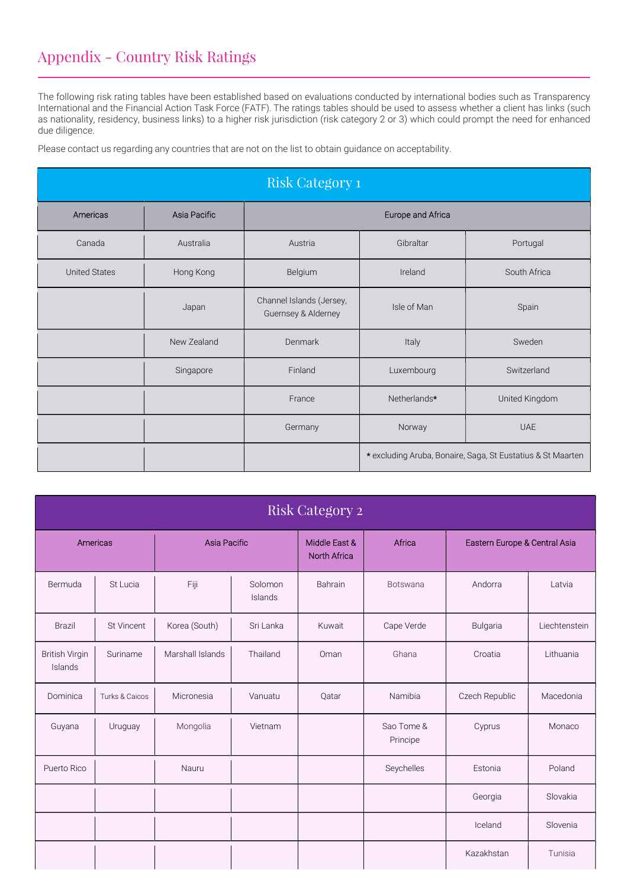## Appendix - Country Risk Ratings

The following risk rating tables have been established based on evaluations conducted by international bodies such as Transparency International and the Financial Action Task Force (FATF). The ratings tables should be used to assess whether a client has links (such as nationality, residency, business links) to a higher risk jurisdiction (risk category 2 or 3) which could prompt the need for enhanced due diligence.

Please contact us regarding any countries that are not on the list to obtain guidance on acceptability.

| Risk Category 1      |              |                                                 |                                                             |             |  |  |
|----------------------|--------------|-------------------------------------------------|-------------------------------------------------------------|-------------|--|--|
| Americas             | Asia Pacific |                                                 | Europe and Africa                                           |             |  |  |
| Canada               | Australia    | Gibraltar<br>Austria<br>Portugal                |                                                             |             |  |  |
| <b>United States</b> | Hong Kong    | Belgium                                         | South Africa<br>Ireland                                     |             |  |  |
|                      | Japan        | Channel Islands (Jersey,<br>Guernsey & Alderney | Isle of Man                                                 | Spain       |  |  |
|                      | New Zealand  | Denmark<br>Italy                                |                                                             | Sweden      |  |  |
|                      | Singapore    | Finland                                         | Luxembourg                                                  | Switzerland |  |  |
|                      |              | France                                          | Netherlands*<br>United Kingdom                              |             |  |  |
|                      |              | Germany                                         | Norway                                                      | <b>UAE</b>  |  |  |
|                      |              |                                                 | * excluding Aruba, Bonaire, Saga, St Eustatius & St Maarten |             |  |  |

| <b>Risk Category 2</b>           |                |                  |                    |                                      |                        |                               |               |  |
|----------------------------------|----------------|------------------|--------------------|--------------------------------------|------------------------|-------------------------------|---------------|--|
| Americas                         |                | Asia Pacific     |                    | Middle East &<br><b>North Africa</b> | Africa                 | Eastern Europe & Central Asia |               |  |
| Bermuda                          | St Lucia       | Fiji             | Solomon<br>Islands | Bahrain                              | <b>Botswana</b>        | Andorra                       | Latvia        |  |
| <b>Brazil</b>                    | St Vincent     | Korea (South)    | Sri Lanka          | Kuwait                               | Cape Verde             | Bulgaria                      | Liechtenstein |  |
| <b>British Virgin</b><br>Islands | Suriname       | Marshall Islands | Thailand           | Oman                                 | Ghana                  | Croatia                       | Lithuania     |  |
| Dominica                         | Turks & Caicos | Micronesia       | Vanuatu            | Qatar                                | Namibia                | Czech Republic                | Macedonia     |  |
| Guyana                           | Uruguay        | Mongolia         | Vietnam            |                                      | Sao Tome &<br>Principe | Cyprus                        | Monaco        |  |
| Puerto Rico                      |                | Nauru            |                    |                                      | Seychelles             | Estonia                       | Poland        |  |
|                                  |                |                  |                    |                                      |                        | Georgia                       | Slovakia      |  |
|                                  |                |                  |                    |                                      |                        | Iceland                       | Slovenia      |  |
|                                  |                |                  |                    |                                      |                        | Kazakhstan                    | Tunisia       |  |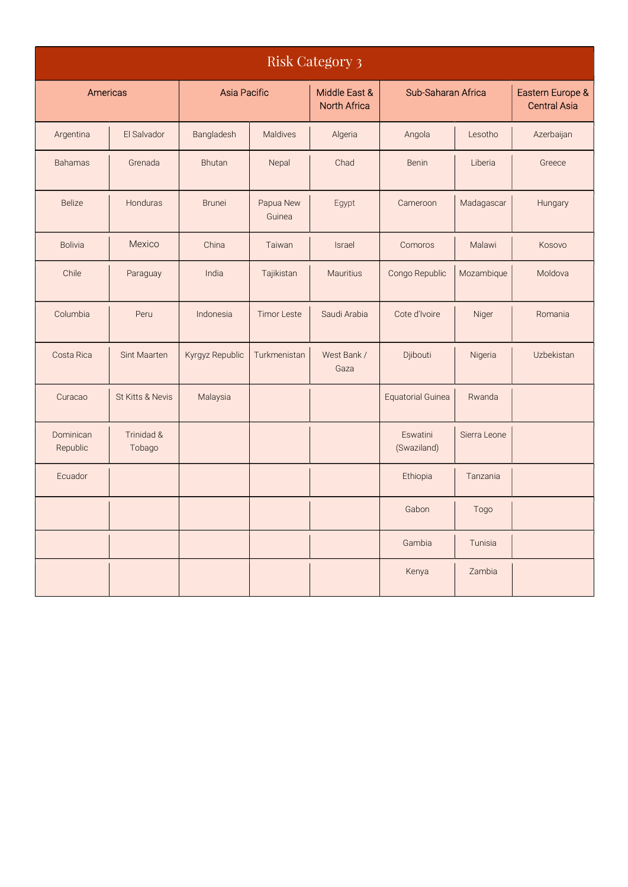| <b>Risk Category 3</b> |                      |                     |                     |                                      |                          |              |                                         |  |
|------------------------|----------------------|---------------------|---------------------|--------------------------------------|--------------------------|--------------|-----------------------------------------|--|
| Americas               |                      | <b>Asia Pacific</b> |                     | Middle East &<br><b>North Africa</b> | Sub-Saharan Africa       |              | Eastern Europe &<br><b>Central Asia</b> |  |
| Argentina              | El Salvador          | Bangladesh          | Maldives            | Algeria                              | Angola                   | Lesotho      | Azerbaijan                              |  |
| <b>Bahamas</b>         | Grenada              | Bhutan              | Nepal               | Chad                                 | Benin                    | Liberia      | Greece                                  |  |
| <b>Belize</b>          | Honduras             | <b>Brunei</b>       | Papua New<br>Guinea | Egypt                                | Cameroon                 | Madagascar   | Hungary                                 |  |
| <b>Bolivia</b>         | Mexico               | China               | Taiwan              | <b>Israel</b>                        | Comoros                  | Malawi       | Kosovo                                  |  |
| Chile                  | Paraguay             | India               | Tajikistan          | <b>Mauritius</b>                     | Congo Republic           | Mozambique   | Moldova                                 |  |
| Columbia               | Peru                 | Indonesia           | <b>Timor Leste</b>  | Saudi Arabia                         | Cote d'Ivoire            | Niger        | Romania                                 |  |
| Costa Rica             | Sint Maarten         | Kyrgyz Republic     | Turkmenistan        | West Bank /<br>Gaza                  | Djibouti                 | Nigeria      | Uzbekistan                              |  |
| Curacao                | St Kitts & Nevis     | Malaysia            |                     |                                      | <b>Equatorial Guinea</b> | Rwanda       |                                         |  |
| Dominican<br>Republic  | Trinidad &<br>Tobago |                     |                     |                                      | Eswatini<br>(Swaziland)  | Sierra Leone |                                         |  |
| Ecuador                |                      |                     |                     |                                      | Ethiopia                 | Tanzania     |                                         |  |
|                        |                      |                     |                     |                                      | Gabon                    | Togo         |                                         |  |
|                        |                      |                     |                     |                                      | Gambia                   | Tunisia      |                                         |  |
|                        |                      |                     |                     |                                      | Kenya                    | Zambia       |                                         |  |